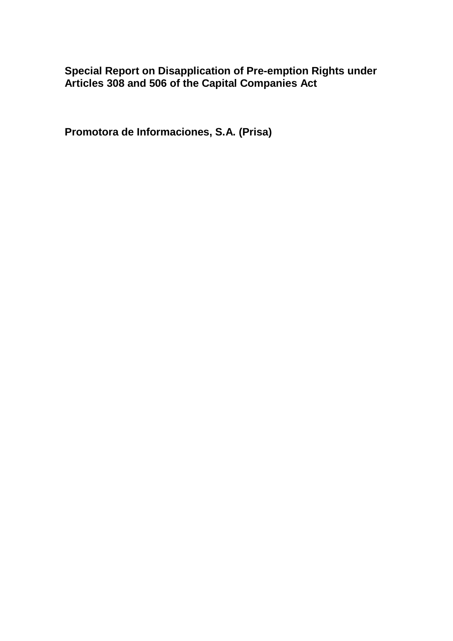**Special Report on Disapplication of Pre-emption Rights under Articles 308 and 506 of the Capital Companies Act**

**Promotora de Informaciones, S.A. (Prisa)**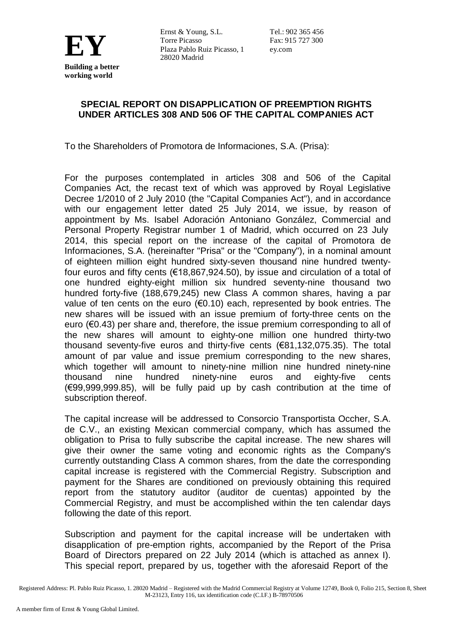

Ernst & Young, S.L. Torre Picasso Ernst & Toung, S.L.<br>
Torre Picasso<br>
Plaza Pablo Ruiz Picasso, 1<br>
28020 Madrid<br>
Plaza Pablo Ruiz Picasso, 1<br>
ey.com Plaza Pablo Ruiz Picasso, 1 28020 Madrid

Tel.: 902 365 456 ey.com

## **SPECIAL REPORT ON DISAPPLICATION OF PREEMPTION RIGHTS UNDER ARTICLES 308 AND 506 OF THE CAPITAL COMPANIES ACT**

To the Shareholders of Promotora de Informaciones, S.A. (Prisa):

For the purposes contemplated in articles 308 and 506 of the Capital Companies Act, the recast text of which was approved by Royal Legislative Decree 1/2010 of 2 July 2010 (the "Capital Companies Act"), and in accordance with our engagement letter dated 25 July 2014, we issue, by reason of appointment by Ms. Isabel Adoración Antoniano González, Commercial and Personal Property Registrar number 1 of Madrid, which occurred on 23 July 2014, this special report on the increase of the capital of Promotora de Informaciones, S.A. (hereinafter "Prisa" or the "Company"), in a nominal amount of eighteen million eight hundred sixty-seven thousand nine hundred twentyfour euros and fifty cents (€18,867,924.50), by issue and circulation of a total of one hundred eighty-eight million six hundred seventy-nine thousand two hundred forty-five (188,679,245) new Class A common shares, having a par value of ten cents on the euro ( $\epsilon$ 0.10) each, represented by book entries. The new shares will be issued with an issue premium of forty-three cents on the euro (€0.43) per share and, therefore, the issue premium corresponding to all of the new shares will amount to eighty-one million one hundred thirty-two thousand seventy-five euros and thirty-five cents (€81,132,075.35). The total amount of par value and issue premium corresponding to the new shares, which together will amount to ninety-nine million nine hundred ninety-nine thousand nine hundred ninety-nine euros and eighty-five cents (€99,999,999.85), will be fully paid up by cash contribution at the time of subscription thereof.

The capital increase will be addressed to Consorcio Transportista Occher, S.A. de C.V., an existing Mexican commercial company, which has assumed the obligation to Prisa to fully subscribe the capital increase. The new shares will give their owner the same voting and economic rights as the Company's currently outstanding Class A common shares, from the date the corresponding capital increase is registered with the Commercial Registry. Subscription and payment for the Shares are conditioned on previously obtaining this required report from the statutory auditor (auditor de cuentas) appointed by the Commercial Registry, and must be accomplished within the ten calendar days following the date of this report.

Subscription and payment for the capital increase will be undertaken with disapplication of pre-emption rights, accompanied by the Report of the Prisa Board of Directors prepared on 22 July 2014 (which is attached as annex I). This special report, prepared by us, together with the aforesaid Report of the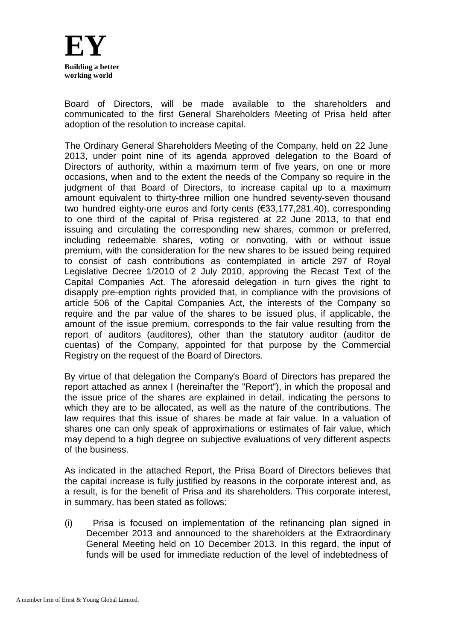

Board of Directors, will be made available to the shareholders and communicated to the first General Shareholders Meeting of Prisa held after adoption of the resolution to increase capital.

The Ordinary General Shareholders Meeting of the Company, held on 22 June 2013, under point nine of its agenda approved delegation to the Board of Directors of authority, within a maximum term of five years, on one or more occasions, when and to the extent the needs of the Company so require in the judgment of that Board of Directors, to increase capital up to a maximum amount equivalent to thirty-three million one hundred seventy-seven thousand two hundred eighty-one euros and forty cents (€33,177,281.40), corresponding to one third of the capital of Prisa registered at 22 June 2013, to that end issuing and circulating the corresponding new shares, common or preferred, including redeemable shares, voting or nonvoting, with or without issue premium, with the consideration for the new shares to be issued being required to consist of cash contributions as contemplated in article 297 of Royal Legislative Decree 1/2010 of 2 July 2010, approving the Recast Text of the Capital Companies Act. The aforesaid delegation in turn gives the right to disapply pre-emption rights provided that, in compliance with the provisions of article 506 of the Capital Companies Act, the interests of the Company so require and the par value of the shares to be issued plus, if applicable, the amount of the issue premium, corresponds to the fair value resulting from the report of auditors (auditores), other than the statutory auditor (auditor de cuentas) of the Company, appointed for that purpose by the Commercial Registry on the request of the Board of Directors.

By virtue of that delegation the Company's Board of Directors has prepared the report attached as annex I (hereinafter the "Report"), in which the proposal and the issue price of the shares are explained in detail, indicating the persons to which they are to be allocated, as well as the nature of the contributions. The law requires that this issue of shares be made at fair value. In a valuation of shares one can only speak of approximations or estimates of fair value, which may depend to a high degree on subjective evaluations of very different aspects of the business.

As indicated in the attached Report, the Prisa Board of Directors believes that the capital increase is fully justified by reasons in the corporate interest and, as a result, is for the benefit of Prisa and its shareholders. This corporate interest, in summary, has been stated as follows:

(i) Prisa is focused on implementation of the refinancing plan signed in December 2013 and announced to the shareholders at the Extraordinary General Meeting held on 10 December 2013. In this regard, the input of funds will be used for immediate reduction of the level of indebtedness of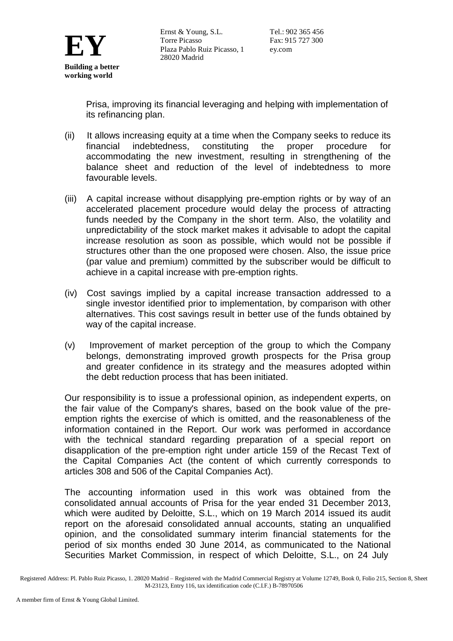

Prisa, improving its financial leveraging and helping with implementation of its refinancing plan.

- (ii) It allows increasing equity at a time when the Company seeks to reduce its financial indebtedness, constituting the proper procedure for accommodating the new investment, resulting in strengthening of the balance sheet and reduction of the level of indebtedness to more favourable levels.
- (iii) A capital increase without disapplying pre-emption rights or by way of an accelerated placement procedure would delay the process of attracting funds needed by the Company in the short term. Also, the volatility and unpredictability of the stock market makes it advisable to adopt the capital increase resolution as soon as possible, which would not be possible if structures other than the one proposed were chosen. Also, the issue price (par value and premium) committed by the subscriber would be difficult to achieve in a capital increase with pre-emption rights.
- (iv) Cost savings implied by a capital increase transaction addressed to a single investor identified prior to implementation, by comparison with other alternatives. This cost savings result in better use of the funds obtained by way of the capital increase.
- (v) Improvement of market perception of the group to which the Company belongs, demonstrating improved growth prospects for the Prisa group and greater confidence in its strategy and the measures adopted within the debt reduction process that has been initiated.

Our responsibility is to issue a professional opinion, as independent experts, on the fair value of the Company's shares, based on the book value of the preemption rights the exercise of which is omitted, and the reasonableness of the information contained in the Report. Our work was performed in accordance with the technical standard regarding preparation of a special report on disapplication of the pre-emption right under article 159 of the Recast Text of the Capital Companies Act (the content of which currently corresponds to articles 308 and 506 of the Capital Companies Act).

The accounting information used in this work was obtained from the consolidated annual accounts of Prisa for the year ended 31 December 2013, which were audited by Deloitte, S.L., which on 19 March 2014 issued its audit report on the aforesaid consolidated annual accounts, stating an unqualified opinion, and the consolidated summary interim financial statements for the period of six months ended 30 June 2014, as communicated to the National Securities Market Commission, in respect of which Deloitte, S.L., on 24 July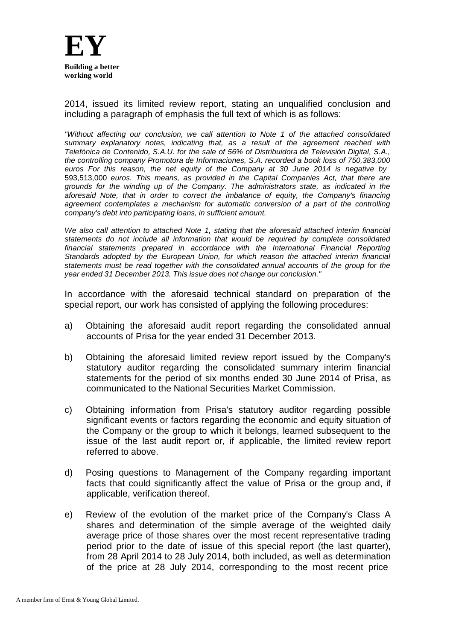

2014, issued its limited review report, stating an unqualified conclusion and including a paragraph of emphasis the full text of which is as follows:

*"Without affecting our conclusion, we call attention to Note 1 of the attached consolidated summary explanatory notes, indicating that, as a result of the agreement reached with Telefónica de Contenido, S.A.U. for the sale of 56% of Distribuidora de Televisión Digital, S.A., the controlling company Promotora de Informaciones, S.A. recorded a book loss of 750,383,000 euros For this reason, the net equity of the Company at 30 June 2014 is negative by* 593,513,000 *euros. This means, as provided in the Capital Companies Act, that there are grounds for the winding up of the Company. The administrators state, as indicated in the aforesaid Note, that in order to correct the imbalance of equity, the Company's financing agreement contemplates a mechanism for automatic conversion of a part of the controlling company's debt into participating loans, in sufficient amount.*

*We also call attention to attached Note 1, stating that the aforesaid attached interim financial statements do not include all information that would be required by complete consolidated financial statements prepared in accordance with the International Financial Reporting Standards adopted by the European Union, for which reason the attached interim financial statements must be read together with the consolidated annual accounts of the group for the year ended 31 December 2013. This issue does not change our conclusion."*

In accordance with the aforesaid technical standard on preparation of the special report, our work has consisted of applying the following procedures:

- a) Obtaining the aforesaid audit report regarding the consolidated annual accounts of Prisa for the year ended 31 December 2013.
- b) Obtaining the aforesaid limited review report issued by the Company's statutory auditor regarding the consolidated summary interim financial statements for the period of six months ended 30 June 2014 of Prisa, as communicated to the National Securities Market Commission.
- c) Obtaining information from Prisa's statutory auditor regarding possible significant events or factors regarding the economic and equity situation of the Company or the group to which it belongs, learned subsequent to the issue of the last audit report or, if applicable, the limited review report referred to above.
- d) Posing questions to Management of the Company regarding important facts that could significantly affect the value of Prisa or the group and, if applicable, verification thereof.
- e) Review of the evolution of the market price of the Company's Class A shares and determination of the simple average of the weighted daily average price of those shares over the most recent representative trading period prior to the date of issue of this special report (the last quarter), from 28 April 2014 to 28 July 2014, both included, as well as determination of the price at 28 July 2014, corresponding to the most recent price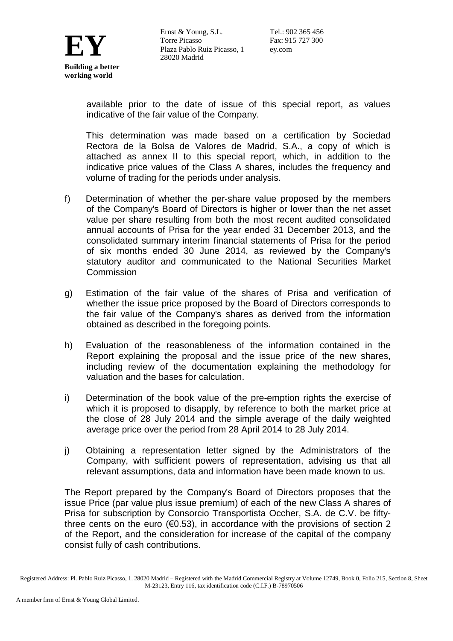

available prior to the date of issue of this special report, as values indicative of the fair value of the Company.

This determination was made based on a certification by Sociedad Rectora de la Bolsa de Valores de Madrid, S.A., a copy of which is attached as annex II to this special report, which, in addition to the indicative price values of the Class A shares, includes the frequency and volume of trading for the periods under analysis.

- f) Determination of whether the per-share value proposed by the members of the Company's Board of Directors is higher or lower than the net asset value per share resulting from both the most recent audited consolidated annual accounts of Prisa for the year ended 31 December 2013, and the consolidated summary interim financial statements of Prisa for the period of six months ended 30 June 2014, as reviewed by the Company's statutory auditor and communicated to the National Securities Market Commission
- g) Estimation of the fair value of the shares of Prisa and verification of whether the issue price proposed by the Board of Directors corresponds to the fair value of the Company's shares as derived from the information obtained as described in the foregoing points.
- h) Evaluation of the reasonableness of the information contained in the Report explaining the proposal and the issue price of the new shares, including review of the documentation explaining the methodology for valuation and the bases for calculation.
- i) Determination of the book value of the pre-emption rights the exercise of which it is proposed to disapply, by reference to both the market price at the close of 28 July 2014 and the simple average of the daily weighted average price over the period from 28 April 2014 to 28 July 2014.
- j) Obtaining a representation letter signed by the Administrators of the Company, with sufficient powers of representation, advising us that all relevant assumptions, data and information have been made known to us.

The Report prepared by the Company's Board of Directors proposes that the issue Price (par value plus issue premium) of each of the new Class A shares of Prisa for subscription by Consorcio Transportista Occher, S.A. de C.V. be fiftythree cents on the euro ( $\epsilon$ 0.53), in accordance with the provisions of section 2 of the Report, and the consideration for increase of the capital of the company consist fully of cash contributions.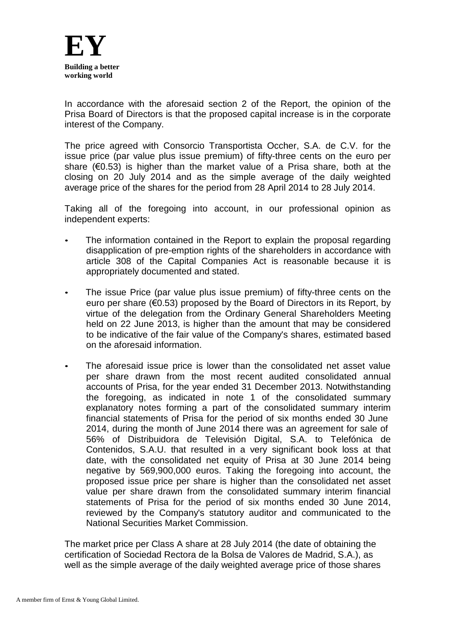

In accordance with the aforesaid section 2 of the Report, the opinion of the Prisa Board of Directors is that the proposed capital increase is in the corporate interest of the Company.

The price agreed with Consorcio Transportista Occher, S.A. de C.V. for the issue price (par value plus issue premium) of fifty-three cents on the euro per share (€0.53) is higher than the market value of a Prisa share, both at the closing on 20 July 2014 and as the simple average of the daily weighted average price of the shares for the period from 28 April 2014 to 28 July 2014.

Taking all of the foregoing into account, in our professional opinion as independent experts:

- The information contained in the Report to explain the proposal regarding disapplication of pre-emption rights of the shareholders in accordance with article 308 of the Capital Companies Act is reasonable because it is appropriately documented and stated.
- The issue Price (par value plus issue premium) of fifty-three cents on the euro per share (€0.53) proposed by the Board of Directors in its Report, by virtue of the delegation from the Ordinary General Shareholders Meeting held on 22 June 2013, is higher than the amount that may be considered to be indicative of the fair value of the Company's shares, estimated based on the aforesaid information.
- The aforesaid issue price is lower than the consolidated net asset value per share drawn from the most recent audited consolidated annual accounts of Prisa, for the year ended 31 December 2013. Notwithstanding the foregoing, as indicated in note 1 of the consolidated summary explanatory notes forming a part of the consolidated summary interim financial statements of Prisa for the period of six months ended 30 June 2014, during the month of June 2014 there was an agreement for sale of 56% of Distribuidora de Televisión Digital, S.A. to Telefónica de Contenidos, S.A.U. that resulted in a very significant book loss at that date, with the consolidated net equity of Prisa at 30 June 2014 being negative by 569,900,000 euros. Taking the foregoing into account, the proposed issue price per share is higher than the consolidated net asset value per share drawn from the consolidated summary interim financial statements of Prisa for the period of six months ended 30 June 2014, reviewed by the Company's statutory auditor and communicated to the National Securities Market Commission.

The market price per Class A share at 28 July 2014 (the date of obtaining the certification of Sociedad Rectora de la Bolsa de Valores de Madrid, S.A.), as well as the simple average of the daily weighted average price of those shares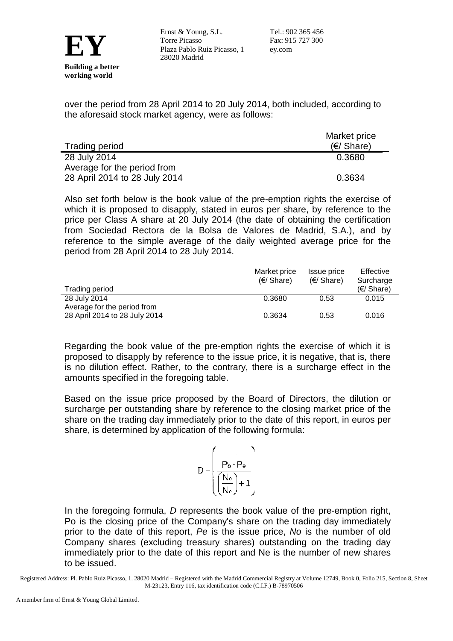

over the period from 28 April 2014 to 20 July 2014, both included, according to the aforesaid stock market agency, were as follows:

|                               | Market price        |  |
|-------------------------------|---------------------|--|
| <b>Trading period</b>         | $(\epsilon)$ Share) |  |
| 28 July 2014                  | 0.3680              |  |
| Average for the period from   |                     |  |
| 28 April 2014 to 28 July 2014 | 0.3634              |  |

Also set forth below is the book value of the pre-emption rights the exercise of which it is proposed to disapply, stated in euros per share, by reference to the price per Class A share at 20 July 2014 (the date of obtaining the certification from Sociedad Rectora de la Bolsa de Valores de Madrid, S.A.), and by reference to the simple average of the daily weighted average price for the period from 28 April 2014 to 28 July 2014.

|                               | Market price<br>$(E/ \; \text{Share})$ | Issue price<br>(E/Share) | Effective<br>Surcharge |
|-------------------------------|----------------------------------------|--------------------------|------------------------|
| Trading period                |                                        |                          | (E/Share)              |
| 28 July 2014                  | 0.3680                                 | 0.53                     | 0.015                  |
| Average for the period from   |                                        |                          |                        |
| 28 April 2014 to 28 July 2014 | 0.3634                                 | 0.53                     | 0.016                  |

Regarding the book value of the pre-emption rights the exercise of which it is proposed to disapply by reference to the issue price, it is negative, that is, there is no dilution effect. Rather, to the contrary, there is a surcharge effect in the amounts specified in the foregoing table.

Based on the issue price proposed by the Board of Directors, the dilution or surcharge per outstanding share by reference to the closing market price of the share on the trading day immediately prior to the date of this report, in euros per share, is determined by application of the following formula:

$$
D = \begin{pmatrix} & & & \\ & P_o - P_e & & \\ & & & \\ \hline \left(\frac{N_o}{N_e}\right) + 1 & & \\ & & & \end{pmatrix}
$$

In the foregoing formula, *D* represents the book value of the pre-emption right, Po is the closing price of the Company's share on the trading day immediately prior to the date of this report, *Pe* is the issue price, *No* is the number of old Company shares (excluding treasury shares) outstanding on the trading day immediately prior to the date of this report and Ne is the number of new shares to be issued.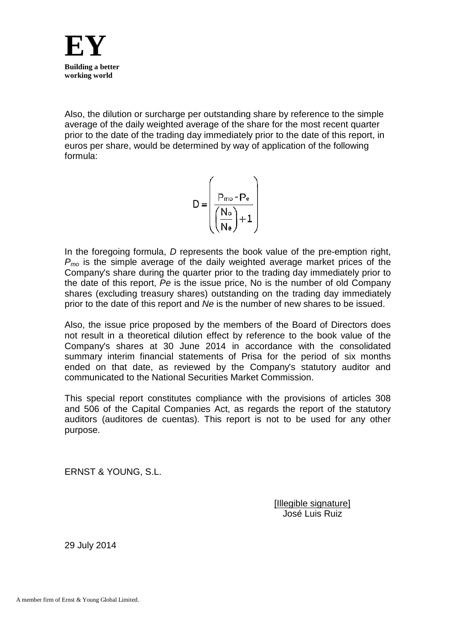

Also, the dilution or surcharge per outstanding share by reference to the simple average of the daily weighted average of the share for the most recent quarter prior to the date of the trading day immediately prior to the date of this report, in euros per share, would be determined by way of application of the following formula:

$$
D = \left(\frac{P_{mo} - P_e}{\left(\frac{N_o}{N_e}\right) + 1}\right)
$$

In the foregoing formula, *D* represents the book value of the pre-emption right,  $P_{mo}$  is the simple average of the daily weighted average market prices of the Company's share during the quarter prior to the trading day immediately prior to the date of this report, *Pe* is the issue price, No is the number of old Company shares (excluding treasury shares) outstanding on the trading day immediately prior to the date of this report and *Ne* is the number of new shares to be issued.

Also, the issue price proposed by the members of the Board of Directors does not result in a theoretical dilution effect by reference to the book value of the Company's shares at 30 June 2014 in accordance with the consolidated summary interim financial statements of Prisa for the period of six months ended on that date, as reviewed by the Company's statutory auditor and communicated to the National Securities Market Commission.

This special report constitutes compliance with the provisions of articles 308 and 506 of the Capital Companies Act, as regards the report of the statutory auditors (auditores de cuentas). This report is not to be used for any other purpose.

ERNST & YOUNG, S.L.

[Illegible signature] José Luis Ruiz

29 July 2014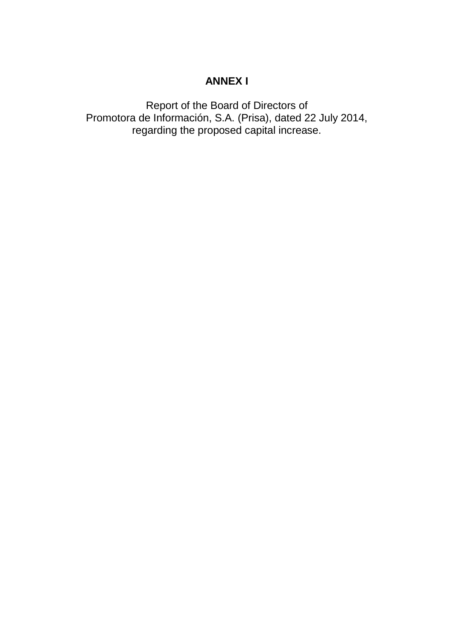# **ANNEX I**

Report of the Board of Directors of Promotora de Información, S.A. (Prisa), dated 22 July 2014, regarding the proposed capital increase.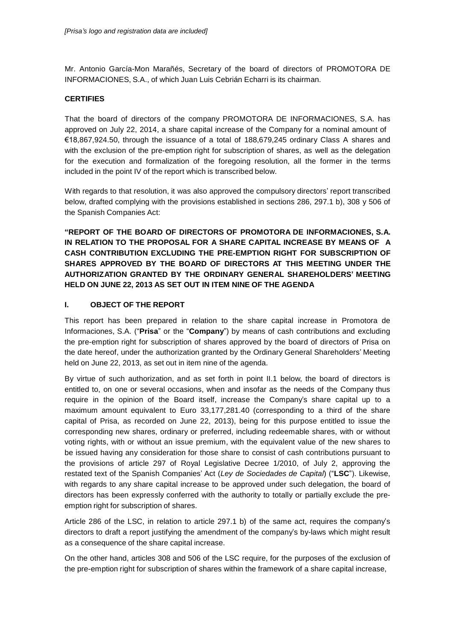Mr. Antonio García-Mon Marañés, Secretary of the board of directors of PROMOTORA DE INFORMACIONES, S.A., of which Juan Luis Cebrián Echarri is its chairman.

## **CERTIFIES**

That the board of directors of the company PROMOTORA DE INFORMACIONES, S.A. has approved on July 22, 2014, a share capital increase of the Company for a nominal amount of €18,867,924.50, through the issuance of a total of 188,679,245 ordinary Class A shares and with the exclusion of the pre-emption right for subscription of shares, as well as the delegation for the execution and formalization of the foregoing resolution, all the former in the terms included in the point IV of the report which is transcribed below.

With regards to that resolution, it was also approved the compulsory directors' report transcribed below, drafted complying with the provisions established in sections 286, 297.1 b), 308 y 506 of the Spanish Companies Act:

**"REPORT OF THE BOARD OF DIRECTORS OF PROMOTORA DE INFORMACIONES, S.A. IN RELATION TO THE PROPOSAL FOR A SHARE CAPITAL INCREASE BY MEANS OF A CASH CONTRIBUTION EXCLUDING THE PRE-EMPTION RIGHT FOR SUBSCRIPTION OF SHARES APPROVED BY THE BOARD OF DIRECTORS AT THIS MEETING UNDER THE AUTHORIZATION GRANTED BY THE ORDINARY GENERAL SHAREHOLDERS' MEETING HELD ON JUNE 22, 2013 AS SET OUT IN ITEM NINE OF THE AGENDA**

## **I. OBJECT OF THE REPORT**

This report has been prepared in relation to the share capital increase in Promotora de Informaciones, S.A. ("**Prisa**" or the "**Company**") by means of cash contributions and excluding the pre-emption right for subscription of shares approved by the board of directors of Prisa on the date hereof, under the authorization granted by the Ordinary General Shareholders' Meeting held on June 22, 2013, as set out in item nine of the agenda.

By virtue of such authorization, and as set forth in point II.1 below, the board of directors is entitled to, on one or several occasions, when and insofar as the needs of the Company thus require in the opinion of the Board itself, increase the Company's share capital up to a maximum amount equivalent to Euro 33,177,281.40 (corresponding to a third of the share capital of Prisa, as recorded on June 22, 2013), being for this purpose entitled to issue the corresponding new shares, ordinary or preferred, including redeemable shares, with or without voting rights, with or without an issue premium, with the equivalent value of the new shares to be issued having any consideration for those share to consist of cash contributions pursuant to the provisions of article 297 of Royal Legislative Decree 1/2010, of July 2, approving the restated text of the Spanish Companies' Act (*Ley de Sociedades de Capital*) ("**LSC**"). Likewise, with regards to any share capital increase to be approved under such delegation, the board of directors has been expressly conferred with the authority to totally or partially exclude the preemption right for subscription of shares.

Article 286 of the LSC, in relation to article 297.1 b) of the same act, requires the company's directors to draft a report justifying the amendment of the company's by-laws which might result as a consequence of the share capital increase.

On the other hand, articles 308 and 506 of the LSC require, for the purposes of the exclusion of the pre-emption right for subscription of shares within the framework of a share capital increase,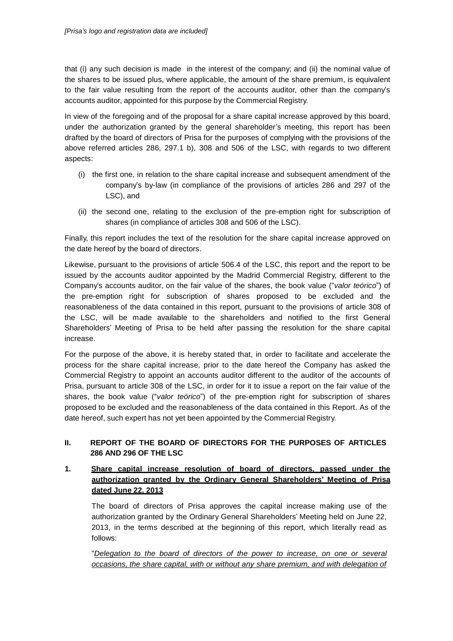that (i) any such decision is made in the interest of the company; and (ii) the nominal value of the shares to be issued plus, where applicable, the amount of the share premium, is equivalent to the fair value resulting from the report of the accounts auditor, other than the company's accounts auditor, appointed for this purpose by the Commercial Registry.

In view of the foregoing and of the proposal for a share capital increase approved by this board, under the authorization granted by the general shareholder's meeting, this report has been drafted by the board of directors of Prisa for the purposes of complying with the provisions of the above referred articles 286, 297.1 b), 308 and 506 of the LSC, with regards to two different aspects:

- (i) the first one, in relation to the share capital increase and subsequent amendment of the company's by-law (in compliance of the provisions of articles 286 and 297 of the LSC), and
- (ii) the second one, relating to the exclusion of the pre-emption right for subscription of shares (in compliance of articles 308 and 506 of the LSC).

Finally, this report includes the text of the resolution for the share capital increase approved on the date hereof by the board of directors.

Likewise, pursuant to the provisions of article 506.4 of the LSC, this report and the report to be issued by the accounts auditor appointed by the Madrid Commercial Registry, different to the Company's accounts auditor, on the fair value of the shares, the book value ("*valor teórico*") of the pre-emption right for subscription of shares proposed to be excluded and the reasonableness of the data contained in this report, pursuant to the provisions of article 308 of the LSC, will be made available to the shareholders and notified to the first General Shareholders' Meeting of Prisa to be held after passing the resolution for the share capital increase.

For the purpose of the above, it is hereby stated that, in order to facilitate and accelerate the process for the share capital increase, prior to the date hereof the Company has asked the Commercial Registry to appoint an accounts auditor different to the auditor of the accounts of Prisa, pursuant to article 308 of the LSC, in order for it to issue a report on the fair value of the shares, the book value ("*valor teórico*") of the pre-emption right for subscription of shares proposed to be excluded and the reasonableness of the data contained in this Report. As of the date hereof, such expert has not yet been appointed by the Commercial Registry.

## **II. REPORT OF THE BOARD OF DIRECTORS FOR THE PURPOSES OF ARTICLES 286 AND 296 OF THE LSC**

## **1. Share capital increase resolution of board of directors, passed under the authorization granted by the Ordinary General Shareholders' Meeting of Prisa dated June 22, 2013**

The board of directors of Prisa approves the capital increase making use of the authorization granted by the Ordinary General Shareholders' Meeting held on June 22, 2013, in the terms described at the beginning of this report, which literally read as follows:

"*Delegation to the board of directors of the power to increase, on one or several occasions, the share capital, with or without any share premium, and with delegation of*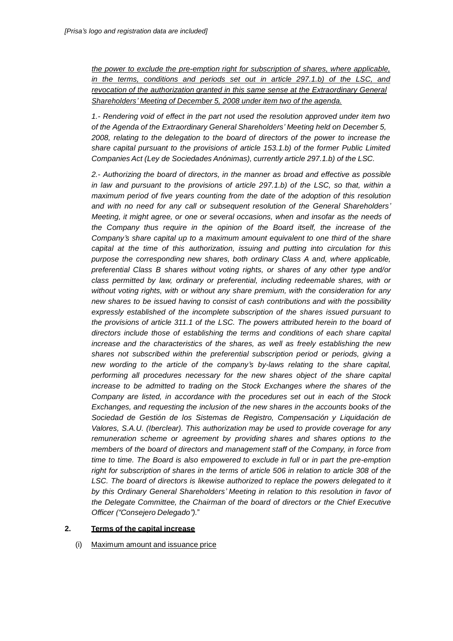*the power to exclude the pre-emption right for subscription of shares, where applicable, in the terms, conditions and periods set out in article 297.1.b) of the LSC, and revocation of the authorization granted in this same sense at the Extraordinary General Shareholders' Meeting of December 5, 2008 under item two of the agenda.*

*1.- Rendering void of effect in the part not used the resolution approved under item two of the Agenda of the Extraordinary General Shareholders' Meeting held on December 5, 2008, relating to the delegation to the board of directors of the power to increase the share capital pursuant to the provisions of article 153.1.b) of the former Public Limited Companies Act (Ley de Sociedades Anónimas), currently article 297.1.b) of the LSC.*

*2.- Authorizing the board of directors, in the manner as broad and effective as possible in law and pursuant to the provisions of article 297.1.b) of the LSC, so that, within a maximum period of five years counting from the date of the adoption of this resolution and with no need for any call or subsequent resolution of the General Shareholders' Meeting, it might agree, or one or several occasions, when and insofar as the needs of the Company thus require in the opinion of the Board itself, the increase of the Company's share capital up to a maximum amount equivalent to one third of the share capital at the time of this authorization, issuing and putting into circulation for this purpose the corresponding new shares, both ordinary Class A and, where applicable, preferential Class B shares without voting rights, or shares of any other type and/or class permitted by law, ordinary or preferential, including redeemable shares, with or without voting rights, with or without any share premium, with the consideration for any new shares to be issued having to consist of cash contributions and with the possibility expressly established of the incomplete subscription of the shares issued pursuant to the provisions of article 311.1 of the LSC. The powers attributed herein to the board of directors include those of establishing the terms and conditions of each share capital increase and the characteristics of the shares, as well as freely establishing the new shares not subscribed within the preferential subscription period or periods, giving a new wording to the article of the company's by-laws relating to the share capital, performing all procedures necessary for the new shares object of the share capital increase to be admitted to trading on the Stock Exchanges where the shares of the Company are listed, in accordance with the procedures set out in each of the Stock Exchanges, and requesting the inclusion of the new shares in the accounts books of the Sociedad de Gestión de los Sistemas de Registro, Compensación y Liquidación de Valores, S.A.U. (Iberclear). This authorization may be used to provide coverage for any remuneration scheme or agreement by providing shares and shares options to the members of the board of directors and management staff of the Company, in force from time to time. The Board is also empowered to exclude in full or in part the pre-emption right for subscription of shares in the terms of article 506 in relation to article 308 of the LSC. The board of directors is likewise authorized to replace the powers delegated to it by this Ordinary General Shareholders' Meeting in relation to this resolution in favor of the Delegate Committee, the Chairman of the board of directors or the Chief Executive Officer ("Consejero Delegado").*"

## **2. Terms of the capital increase**

(i) Maximum amount and issuance price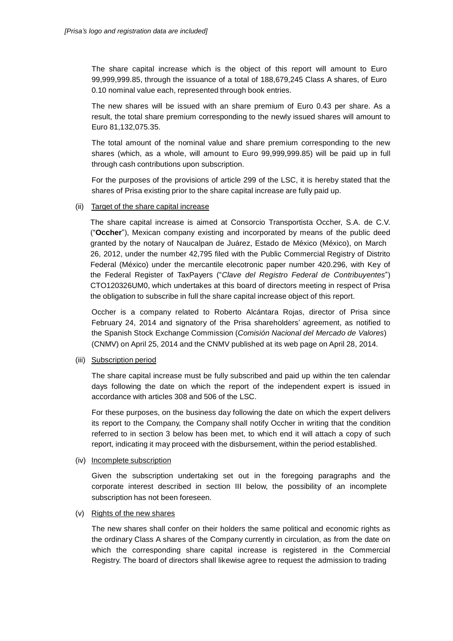The share capital increase which is the object of this report will amount to Euro 99,999,999.85, through the issuance of a total of 188,679,245 Class A shares, of Euro 0.10 nominal value each, represented through book entries.

The new shares will be issued with an share premium of Euro 0.43 per share. As a result, the total share premium corresponding to the newly issued shares will amount to Euro 81,132,075.35.

The total amount of the nominal value and share premium corresponding to the new shares (which, as a whole, will amount to Euro 99,999,999.85) will be paid up in full through cash contributions upon subscription.

For the purposes of the provisions of article 299 of the LSC, it is hereby stated that the shares of Prisa existing prior to the share capital increase are fully paid up.

#### (ii) Target of the share capital increase

The share capital increase is aimed at Consorcio Transportista Occher, S.A. de C.V. ("**Occher**"), Mexican company existing and incorporated by means of the public deed granted by the notary of Naucalpan de Juárez, Estado de México (México), on March 26, 2012, under the number 42,795 filed with the Public Commercial Registry of Distrito Federal (México) under the mercantile elecotronic paper number 420.296, with Key of the Federal Register of TaxPayers ("*Clave del Registro Federal de Contribuyentes*") CTO120326UM0, which undertakes at this board of directors meeting in respect of Prisa the obligation to subscribe in full the share capital increase object of this report.

Occher is a company related to Roberto Alcántara Rojas, director of Prisa since February 24, 2014 and signatory of the Prisa shareholders' agreement, as notified to the Spanish Stock Exchange Commission (*Comisión Nacional del Mercado de Valores*) (CNMV) on April 25, 2014 and the CNMV published at its web page on April 28, 2014.

#### (iii) Subscription period

The share capital increase must be fully subscribed and paid up within the ten calendar days following the date on which the report of the independent expert is issued in accordance with articles 308 and 506 of the LSC.

For these purposes, on the business day following the date on which the expert delivers its report to the Company, the Company shall notify Occher in writing that the condition referred to in section 3 below has been met, to which end it will attach a copy of such report, indicating it may proceed with the disbursement, within the period established.

#### (iv) Incomplete subscription

Given the subscription undertaking set out in the foregoing paragraphs and the corporate interest described in section III below, the possibility of an incomplete subscription has not been foreseen.

#### (v) Rights of the new shares

The new shares shall confer on their holders the same political and economic rights as the ordinary Class A shares of the Company currently in circulation, as from the date on which the corresponding share capital increase is registered in the Commercial Registry. The board of directors shall likewise agree to request the admission to trading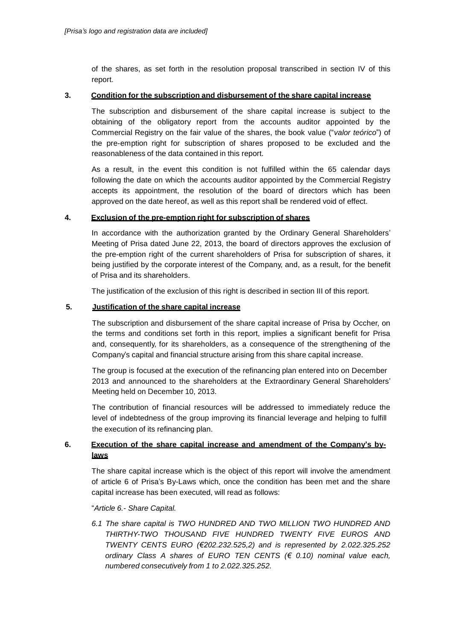of the shares, as set forth in the resolution proposal transcribed in section IV of this report.

## **3. Condition for the subscription and disbursement of the share capital increase**

The subscription and disbursement of the share capital increase is subject to the obtaining of the obligatory report from the accounts auditor appointed by the Commercial Registry on the fair value of the shares, the book value ("*valor teórico*") of the pre-emption right for subscription of shares proposed to be excluded and the reasonableness of the data contained in this report.

As a result, in the event this condition is not fulfilled within the 65 calendar days following the date on which the accounts auditor appointed by the Commercial Registry accepts its appointment, the resolution of the board of directors which has been approved on the date hereof, as well as this report shall be rendered void of effect.

## **4. Exclusion of the pre-emption right for subscription of shares**

In accordance with the authorization granted by the Ordinary General Shareholders' Meeting of Prisa dated June 22, 2013, the board of directors approves the exclusion of the pre-emption right of the current shareholders of Prisa for subscription of shares, it being justified by the corporate interest of the Company, and, as a result, for the benefit of Prisa and its shareholders.

The justification of the exclusion of this right is described in section III of this report.

#### **5. Justification of the share capital increase**

The subscription and disbursement of the share capital increase of Prisa by Occher, on the terms and conditions set forth in this report, implies a significant benefit for Prisa and, consequently, for its shareholders, as a consequence of the strengthening of the Company's capital and financial structure arising from this share capital increase.

The group is focused at the execution of the refinancing plan entered into on December 2013 and announced to the shareholders at the Extraordinary General Shareholders' Meeting held on December 10, 2013.

The contribution of financial resources will be addressed to immediately reduce the level of indebtedness of the group improving its financial leverage and helping to fulfill the execution of its refinancing plan.

## **6. Execution of the share capital increase and amendment of the Company's bylaws**

The share capital increase which is the object of this report will involve the amendment of article 6 of Prisa's By-Laws which, once the condition has been met and the share capital increase has been executed, will read as follows:

## "*Article 6.- Share Capital.*

*6.1 The share capital is TWO HUNDRED AND TWO MILLION TWO HUNDRED AND THIRTHY-TWO THOUSAND FIVE HUNDRED TWENTY FIVE EUROS AND TWENTY CENTS EURO (€202.232.525,2) and is represented by 2.022.325.252 ordinary Class A shares of EURO TEN CENTS (€ 0.10) nominal value each, numbered consecutively from 1 to 2.022.325.252.*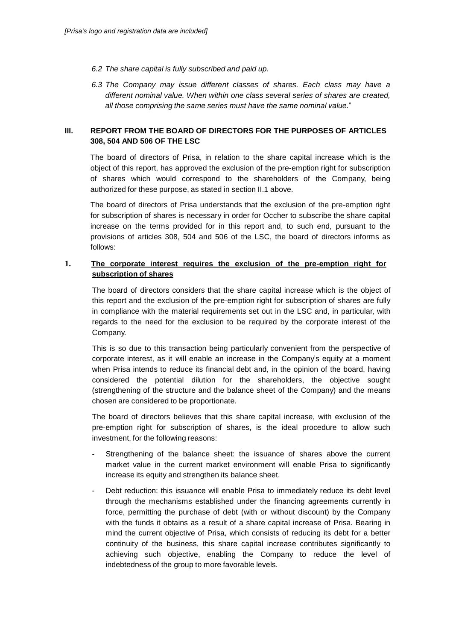- *6.2 The share capital is fully subscribed and paid up.*
- *6.3 The Company may issue different classes of shares. Each class may have a different nominal value. When within one class several series of shares are created, all those comprising the same series must have the same nominal value.*"

## **III. REPORT FROM THE BOARD OF DIRECTORS FOR THE PURPOSES OF ARTICLES 308, 504 AND 506 OF THE LSC**

The board of directors of Prisa, in relation to the share capital increase which is the object of this report, has approved the exclusion of the pre-emption right for subscription of shares which would correspond to the shareholders of the Company, being authorized for these purpose, as stated in section II.1 above.

The board of directors of Prisa understands that the exclusion of the pre-emption right for subscription of shares is necessary in order for Occher to subscribe the share capital increase on the terms provided for in this report and, to such end, pursuant to the provisions of articles 308, 504 and 506 of the LSC, the board of directors informs as follows:

## **1. The corporate interest requires the exclusion of the pre-emption right for subscription of shares**

The board of directors considers that the share capital increase which is the object of this report and the exclusion of the pre-emption right for subscription of shares are fully in compliance with the material requirements set out in the LSC and, in particular, with regards to the need for the exclusion to be required by the corporate interest of the Company.

This is so due to this transaction being particularly convenient from the perspective of corporate interest, as it will enable an increase in the Company's equity at a moment when Prisa intends to reduce its financial debt and, in the opinion of the board, having considered the potential dilution for the shareholders, the objective sought (strengthening of the structure and the balance sheet of the Company) and the means chosen are considered to be proportionate.

The board of directors believes that this share capital increase, with exclusion of the pre-emption right for subscription of shares, is the ideal procedure to allow such investment, for the following reasons:

- Strengthening of the balance sheet: the issuance of shares above the current market value in the current market environment will enable Prisa to significantly increase its equity and strengthen its balance sheet.
- Debt reduction: this issuance will enable Prisa to immediately reduce its debt level through the mechanisms established under the financing agreements currently in force, permitting the purchase of debt (with or without discount) by the Company with the funds it obtains as a result of a share capital increase of Prisa. Bearing in mind the current objective of Prisa, which consists of reducing its debt for a better continuity of the business, this share capital increase contributes significantly to achieving such objective, enabling the Company to reduce the level of indebtedness of the group to more favorable levels.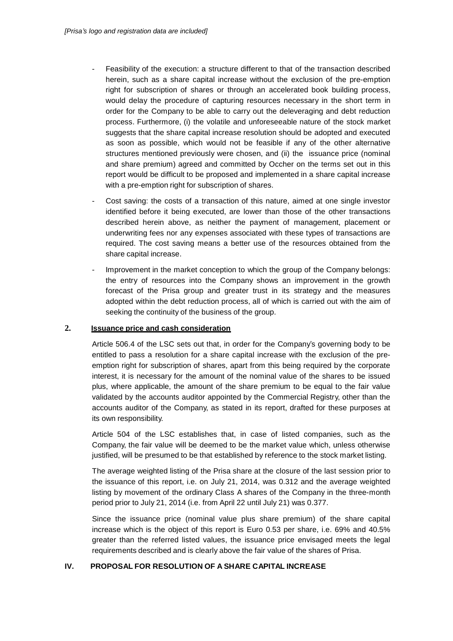- Feasibility of the execution: a structure different to that of the transaction described herein, such as a share capital increase without the exclusion of the pre-emption right for subscription of shares or through an accelerated book building process, would delay the procedure of capturing resources necessary in the short term in order for the Company to be able to carry out the deleveraging and debt reduction process. Furthermore, (i) the volatile and unforeseeable nature of the stock market suggests that the share capital increase resolution should be adopted and executed as soon as possible, which would not be feasible if any of the other alternative structures mentioned previously were chosen, and (ii) the issuance price (nominal and share premium) agreed and committed by Occher on the terms set out in this report would be difficult to be proposed and implemented in a share capital increase with a pre-emption right for subscription of shares.
- Cost saving: the costs of a transaction of this nature, aimed at one single investor identified before it being executed, are lower than those of the other transactions described herein above, as neither the payment of management, placement or underwriting fees nor any expenses associated with these types of transactions are required. The cost saving means a better use of the resources obtained from the share capital increase.
- Improvement in the market conception to which the group of the Company belongs: the entry of resources into the Company shows an improvement in the growth forecast of the Prisa group and greater trust in its strategy and the measures adopted within the debt reduction process, all of which is carried out with the aim of seeking the continuity of the business of the group.

#### **2. Issuance price and cash consideration**

Article 506.4 of the LSC sets out that, in order for the Company's governing body to be entitled to pass a resolution for a share capital increase with the exclusion of the preemption right for subscription of shares, apart from this being required by the corporate interest, it is necessary for the amount of the nominal value of the shares to be issued plus, where applicable, the amount of the share premium to be equal to the fair value validated by the accounts auditor appointed by the Commercial Registry, other than the accounts auditor of the Company, as stated in its report, drafted for these purposes at its own responsibility.

Article 504 of the LSC establishes that, in case of listed companies, such as the Company, the fair value will be deemed to be the market value which, unless otherwise justified, will be presumed to be that established by reference to the stock market listing.

The average weighted listing of the Prisa share at the closure of the last session prior to the issuance of this report, i.e. on July 21, 2014, was 0.312 and the average weighted listing by movement of the ordinary Class A shares of the Company in the three-month period prior to July 21, 2014 (i.e. from April 22 until July 21) was 0.377.

Since the issuance price (nominal value plus share premium) of the share capital increase which is the object of this report is Euro 0.53 per share, i.e. 69% and 40.5% greater than the referred listed values, the issuance price envisaged meets the legal requirements described and is clearly above the fair value of the shares of Prisa.

#### **IV. PROPOSAL FOR RESOLUTION OF A SHARE CAPITAL INCREASE**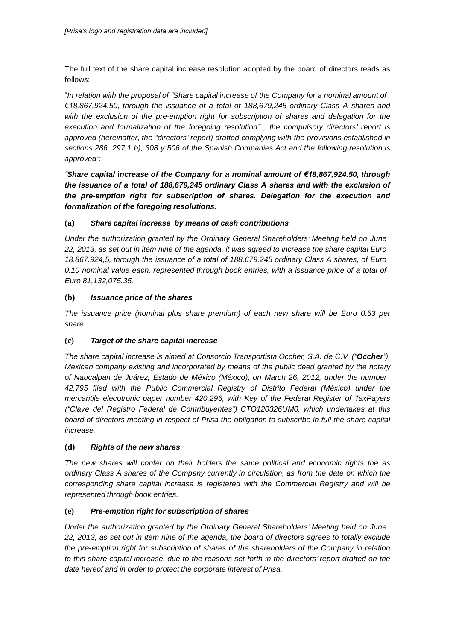The full text of the share capital increase resolution adopted by the board of directors reads as follows:

"*In relation with the proposal of "Share capital* i*ncrease of the Company for a nominal amount of €18,867,924.50, through the issuance of a total of 188,679,245 ordinary Class A shares and with the exclusion of the pre-emption right for subscription of shares and delegation for the execution and formalization of the foregoing resolution" , the compulsory directors' report is approved (hereinafter, the "directors' report) drafted complying with the provisions established in sections 286, 297.1 b), 308 y 506 of the Spanish Companies Act and the following resolution is approved":*

*"Share capital* **i***ncrease of the Company for a nominal amount of €18,867,924.50, through the issuance of a total of 188,679,245 ordinary Class A shares and with the exclusion of the pre-emption right for subscription of shares. Delegation for the execution and formalization of the foregoing resolutions.*

## **(a)** *Share capital increase by means of cash contributions*

*Under the authorization granted by the Ordinary General Shareholders' Meeting held on June 22, 2013, as set out in item nine of the agenda, it was agreed to increase the share capital Euro 18.867.924,5, through the issuance of a total of 188,679,245 ordinary Class A shares, of Euro 0.10 nominal value each, represented through book entries, with a issuance price of a total of Euro 81,132,075.35.*

## **(b)** *Issuance price of the shares*

*The issuance price (nominal plus share premium) of each new share will be Euro 0.53 per share.*

## **(c)** *Target of the share capital increase*

*The share capital increase is aimed at Consorcio Transportista Occher, S.A. de C.V. ("Occher"), Mexican company existing and incorporated by means of the public deed granted by the notary of Naucalpan de Juárez, Estado de México (México), on March 26, 2012, under the number 42,795 filed with the Public Commercial Registry of Distrito Federal (México) under the mercantile elecotronic paper number 420.296, with Key of the Federal Register of TaxPayers ("Clave del Registro Federal de Contribuyentes") CTO120326UM0, which undertakes at this board of directors meeting in respect of Prisa the obligation to subscribe in full the share capital increase.*

## **(d)** *Rights of the new shares*

*The new shares will confer on their holders the same political and economic rights the as ordinary Class A shares of the Company currently in circulation, as from the date on which the corresponding share capital increase is registered with the Commercial Registry and will be represented through book entries.*

## **(e)** *Pre-emption right for subscription of shares*

*Under the authorization granted by the Ordinary General Shareholders' Meeting held on June 22, 2013, as set out in item nine of the agenda, the board of directors agrees to totally exclude the pre-emption right for subscription of shares of the shareholders of the Company in relation*  to this share capital increase, due to the reasons set forth in the directors' report drafted on the *date hereof and in order to protect the corporate interest of Prisa.*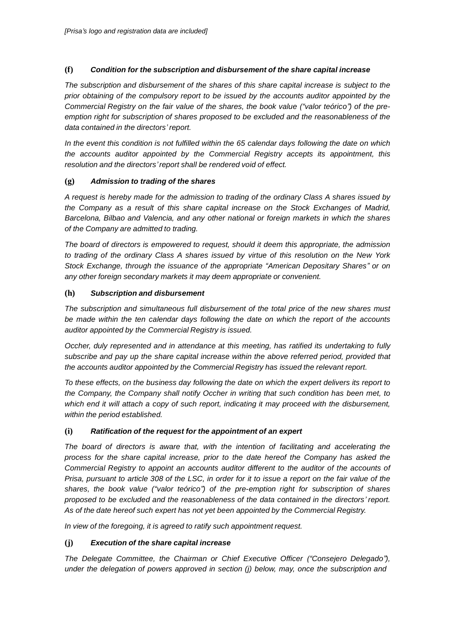## **(f)** *Condition for the subscription and disbursement of the share capital increase*

*The subscription and disbursement of the shares of this share capital increase is subject to the prior obtaining of the compulsory report to be issued by the accounts auditor appointed by the Commercial Registry on the fair value of the shares, the book value ("valor teórico") of the preemption right for subscription of shares proposed to be excluded and the reasonableness of the data contained in the directors' report.*

*In the event this condition is not fulfilled within the 65 calendar days following the date on which the accounts auditor appointed by the Commercial Registry accepts its appointment, this resolution and the directors'report shall be rendered void of effect.*

## **(g)** *Admission to trading of the shares*

*A request is hereby made for the admission to trading of the ordinary Class A shares issued by the Company as a result of this share capital increase on the Stock Exchanges of Madrid, Barcelona, Bilbao and Valencia, and any other national or foreign markets in which the shares of the Company are admitted to trading.*

*The board of directors is empowered to request, should it deem this appropriate, the admission to trading of the ordinary Class A shares issued by virtue of this resolution on the New York Stock Exchange, through the issuance of the appropriate "American Depositary Shares" or on any other foreign secondary markets it may deem appropriate or convenient.*

## **(h)** *Subscription and disbursement*

*The subscription and simultaneous full disbursement of the total price of the new shares must be made within the ten calendar days following the date on which the report of the accounts auditor appointed by the Commercial Registry is issued.*

*Occher, duly represented and in attendance at this meeting, has ratified its undertaking to fully subscribe and pay up the share capital increase within the above referred period, provided that the accounts auditor appointed by the Commercial Registry has issued the relevant report.*

*To these effects, on the business day following the date on which the expert delivers its report to the Company, the Company shall notify Occher in writing that such condition has been met, to which end it will attach a copy of such report, indicating it may proceed with the disbursement, within the period established.*

## **(i)** *Ratification of the request for the appointment of an expert*

*The board of directors is aware that, with the intention of facilitating and accelerating the process for the share capital increase, prior to the date hereof the Company has asked the Commercial Registry to appoint an accounts auditor different to the auditor of the accounts of*  Prisa, pursuant to article 308 of the LSC, in order for it to issue a report on the fair value of the *shares, the book value ("valor teórico") of the pre-emption right for subscription of shares proposed to be excluded and the reasonableness of the data contained in the directors' report. As of the date hereof such expert has not yet been appointed by the Commercial Registry.*

*In view of the foregoing, it is agreed to ratify such appointment request.*

## **(j)** *Execution of the share capital increase*

*The Delegate Committee, the Chairman or Chief Executive Officer ("Consejero Delegado"), under the delegation of powers approved in section (j) below, may, once the subscription and*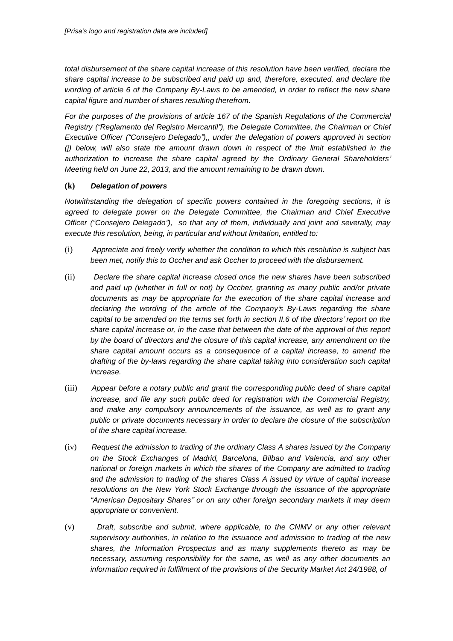*total disbursement of the share capital increase of this resolution have been verified, declare the share capital increase to be subscribed and paid up and, therefore, executed, and declare the wording of article 6 of the Company By-Laws to be amended, in order to reflect the new share capital figure and number of shares resulting therefrom.*

*For the purposes of the provisions of article 167 of the Spanish Regulations of the Commercial Registry ("Reglamento del Registro Mercantil"), the Delegate Committee, the Chairman or Chief Executive Officer ("Consejero Delegado"),, under the delegation of powers approved in section (j) below, will also state the amount drawn down in respect of the limit established in the authorization to increase the share capital agreed by the Ordinary General Shareholders' Meeting held on June 22, 2013, and the amount remaining to be drawn down.*

## **(k)** *Delegation of powers*

*Notwithstanding the delegation of specific powers contained in the foregoing sections, it is agreed to delegate power on the Delegate Committee, the Chairman and Chief Executive Officer ("Consejero Delegado"), so that any of them, individually and joint and severally, may execute this resolution, being, in particular and without limitation, entitled to:*

- (i) *Appreciate and freely verify whether the condition to which this resolution is subject has been met, notify this to Occher and ask Occher to proceed with the disbursement.*
- (ii) *Declare the share capital increase closed once the new shares have been subscribed and paid up (whether in full or not) by Occher, granting as many public and/or private documents as may be appropriate for the execution of the share capital increase and declaring the wording of the article of the Company's By-Laws regarding the share capital to be amended on the terms set forth in section II.6 of the directors' report on the share capital increase or, in the case that between the date of the approval of this report by the board of directors and the closure of this capital increase, any amendment on the share capital amount occurs as a consequence of a capital increase, to amend the drafting of the by-laws regarding the share capital taking into consideration such capital increase.*
- (iii) *Appear before a notary public and grant the corresponding public deed of share capital increase, and file any such public deed for registration with the Commercial Registry, and make any compulsory announcements of the issuance, as well as to grant any public or private documents necessary in order to declare the closure of the subscription of the share capital increase.*
- (iv) *Request the admission to trading of the ordinary Class A shares issued by the Company on the Stock Exchanges of Madrid, Barcelona, Bilbao and Valencia, and any other national or foreign markets in which the shares of the Company are admitted to trading and the admission to trading of the shares Class A issued by virtue of capital increase resolutions on the New York Stock Exchange through the issuance of the appropriate "American Depositary Shares" or on any other foreign secondary markets it may deem appropriate or convenient.*
- (v) *Draft, subscribe and submit, where applicable, to the CNMV or any other relevant supervisory authorities, in relation to the issuance and admission to trading of the new shares, the Information Prospectus and as many supplements thereto as may be necessary, assuming responsibility for the same, as well as any other documents an information required in fulfillment of the provisions of the Security Market Act 24/1988, of*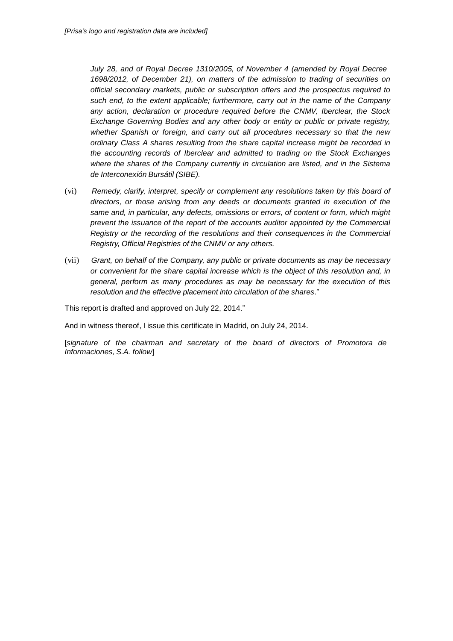*July 28, and of Royal Decree 1310/2005, of November 4 (amended by Royal Decree 1698/2012, of December 21), on matters of the admission to trading of securities on official secondary markets, public or subscription offers and the prospectus required to such end, to the extent applicable; furthermore, carry out in the name of the Company any action, declaration or procedure required before the CNMV, Iberclear, the Stock Exchange Governing Bodies and any other body or entity or public or private registry, whether Spanish or foreign, and carry out all procedures necessary so that the new ordinary Class A shares resulting from the share capital increase might be recorded in the accounting records of Iberclear and admitted to trading on the Stock Exchanges where the shares of the Company currently in circulation are listed, and in the Sistema de Interconexión Bursátil (SIBE).*

- (vi) *Remedy, clarify, interpret, specify or complement any resolutions taken by this board of directors, or those arising from any deeds or documents granted in execution of the same and, in particular, any defects, omissions or errors, of content or form, which might prevent the issuance of the report of the accounts auditor appointed by the Commercial Registry or the recording of the resolutions and their consequences in the Commercial Registry, Official Registries of the CNMV or any others.*
- (vii) *Grant, on behalf of the Company, any public or private documents as may be necessary or convenient for the share capital increase which is the object of this resolution and, in general, perform as many procedures as may be necessary for the execution of this resolution and the effective placement into circulation of the shares*."

This report is drafted and approved on July 22, 2014."

And in witness thereof, I issue this certificate in Madrid, on July 24, 2014.

[*signature of the chairman and secretary of the board of directors of Promotora de Informaciones, S.A. follow*]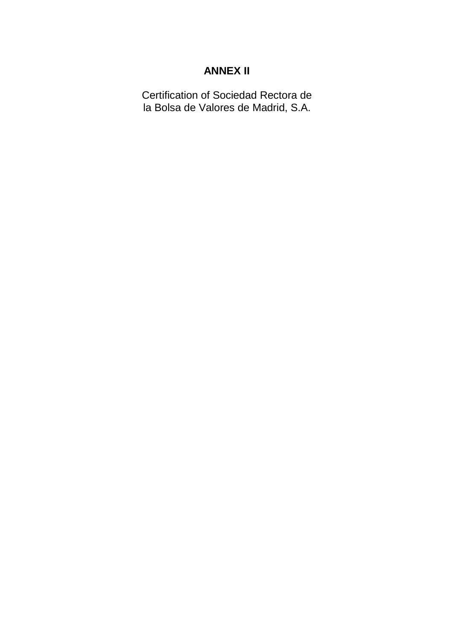# **ANNEX II**

Certification of Sociedad Rectora de la Bolsa de Valores de Madrid, S.A.